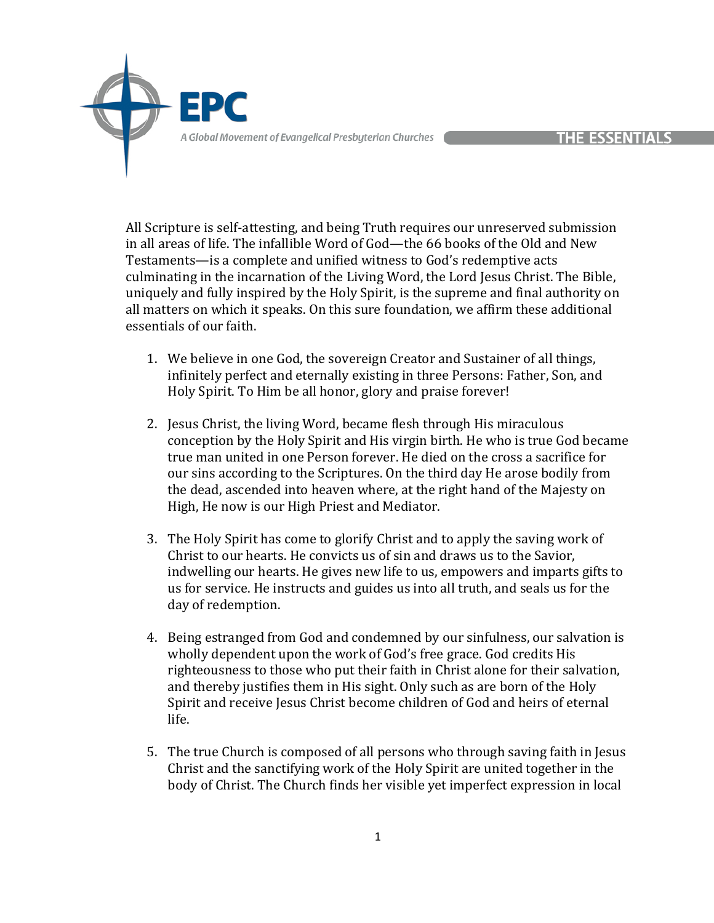

All Scripture is self-attesting, and being Truth requires our unreserved submission in all areas of life. The infallible Word of God—the 66 books of the Old and New Testaments—is a complete and unified witness to God's redemptive acts culminating in the incarnation of the Living Word, the Lord Jesus Christ. The Bible, uniquely and fully inspired by the Holy Spirit, is the supreme and final authority on all matters on which it speaks. On this sure foundation, we affirm these additional essentials of our faith.

- 1. We believe in one God, the sovereign Creator and Sustainer of all things, infinitely perfect and eternally existing in three Persons: Father, Son, and Holy Spirit. To Him be all honor, glory and praise forever!
- 2. Jesus Christ, the living Word, became flesh through His miraculous conception by the Holy Spirit and His virgin birth. He who is true God became true man united in one Person forever. He died on the cross a sacrifice for our sins according to the Scriptures. On the third day He arose bodily from the dead, ascended into heaven where, at the right hand of the Majesty on High, He now is our High Priest and Mediator.
- 3. The Holy Spirit has come to glorify Christ and to apply the saving work of Christ to our hearts. He convicts us of sin and draws us to the Savior, indwelling our hearts. He gives new life to us, empowers and imparts gifts to us for service. He instructs and guides us into all truth, and seals us for the day of redemption.
- 4. Being estranged from God and condemned by our sinfulness, our salvation is wholly dependent upon the work of God's free grace. God credits His righteousness to those who put their faith in Christ alone for their salvation, and thereby justifies them in His sight. Only such as are born of the Holy Spirit and receive Jesus Christ become children of God and heirs of eternal life.
- 5. The true Church is composed of all persons who through saving faith in Jesus Christ and the sanctifying work of the Holy Spirit are united together in the body of Christ. The Church finds her visible yet imperfect expression in local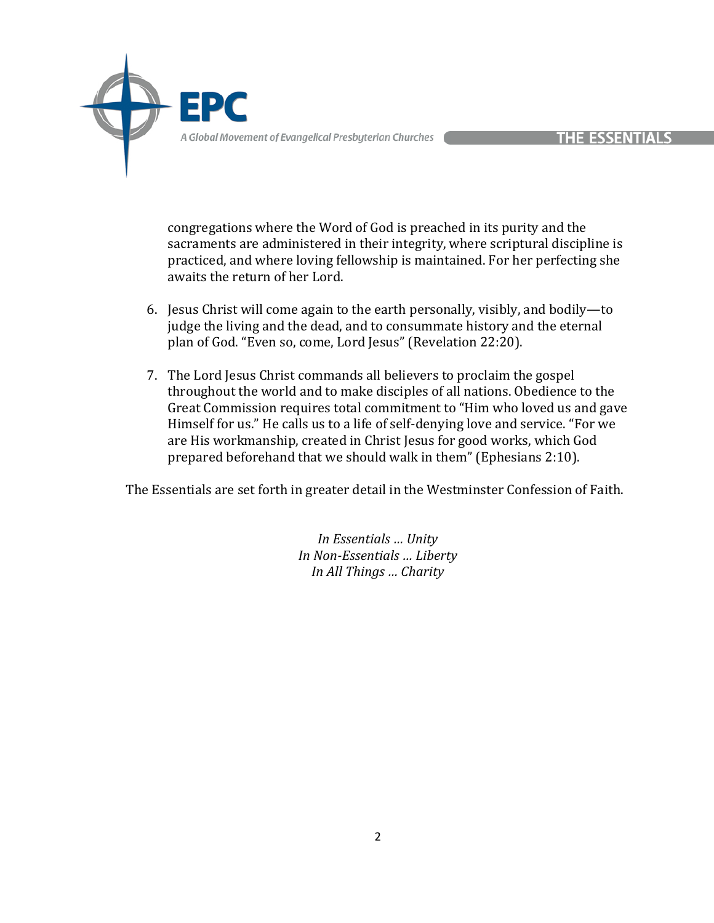

congregations where the Word of God is preached in its purity and the sacraments are administered in their integrity, where scriptural discipline is practiced, and where loving fellowship is maintained. For her perfecting she awaits the return of her Lord.

- 6. Jesus Christ will come again to the earth personally, visibly, and bodily—to judge the living and the dead, and to consummate history and the eternal plan of God. "Even so, come, Lord Jesus" (Revelation 22:20).
- 7. The Lord Jesus Christ commands all believers to proclaim the gospel throughout the world and to make disciples of all nations. Obedience to the Great Commission requires total commitment to "Him who loved us and gave Himself for us." He calls us to a life of self-denying love and service. "For we are His workmanship, created in Christ Jesus for good works, which God prepared beforehand that we should walk in them" (Ephesians 2:10).

The Essentials are set forth in greater detail in the Westminster Confession of Faith.

*In Essentials … Unity In Non-Essentials … Liberty In All Things … Charity*